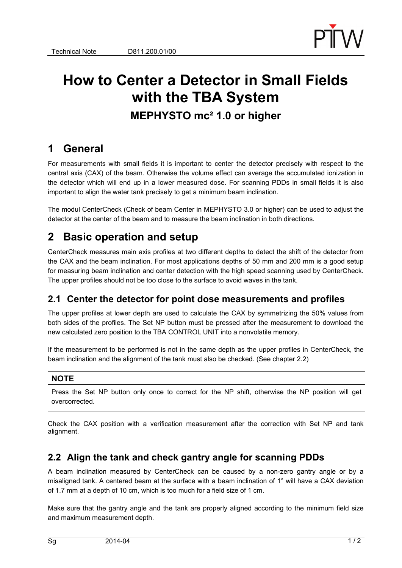

# **How to Center a Detector in Small Fields with the TBA System MEPHYSTO mc² 1.0 or higher**

## **1 General**

For measurements with small fields it is important to center the detector precisely with respect to the central axis (CAX) of the beam. Otherwise the volume effect can average the accumulated ionization in the detector which will end up in a lower measured dose. For scanning PDDs in small fields it is also important to align the water tank precisely to get a minimum beam inclination.

The modul CenterCheck (Check of beam Center in MEPHYSTO 3.0 or higher) can be used to adjust the detector at the center of the beam and to measure the beam inclination in both directions.

## **2 Basic operation and setup**

CenterCheck measures main axis profiles at two different depths to detect the shift of the detector from the CAX and the beam inclination. For most applications depths of 50 mm and 200 mm is a good setup for measuring beam inclination and center detection with the high speed scanning used by CenterCheck. The upper profiles should not be too close to the surface to avoid waves in the tank.

### **2.1 Center the detector for point dose measurements and profiles**

The upper profiles at lower depth are used to calculate the CAX by symmetrizing the 50% values from both sides of the profiles. The Set NP button must be pressed after the measurement to download the new calculated zero position to the TBA CONTROL UNIT into a nonvolatile memory.

If the measurement to be performed is not in the same depth as the upper profiles in CenterCheck, the beam inclination and the alignment of the tank must also be checked. (See chapter 2.2)

#### **NOTE**

Press the Set NP button only once to correct for the NP shift, otherwise the NP position will get overcorrected.

Check the CAX position with a verification measurement after the correction with Set NP and tank alignment.

### **2.2 Align the tank and check gantry angle for scanning PDDs**

A beam inclination measured by CenterCheck can be caused by a non-zero gantry angle or by a misaligned tank. A centered beam at the surface with a beam inclination of 1° will have a CAX deviation of 1.7 mm at a depth of 10 cm, which is too much for a field size of 1 cm.

Make sure that the gantry angle and the tank are properly aligned according to the minimum field size and maximum measurement depth.